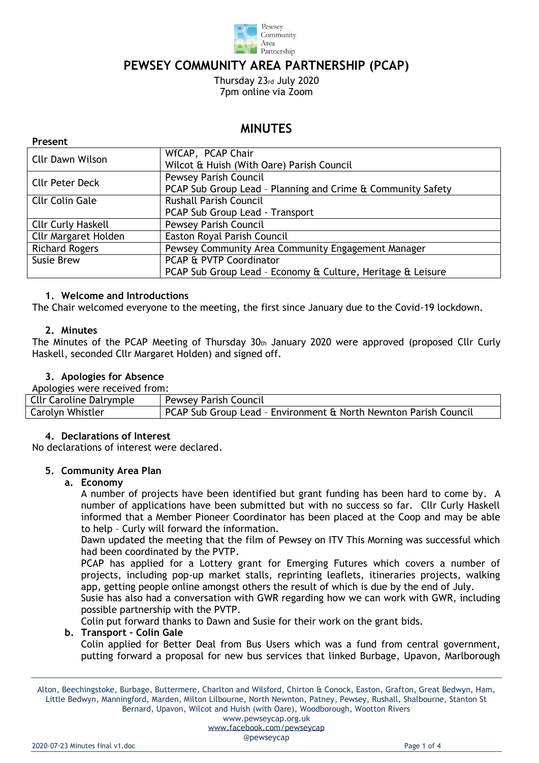

# **PEWSEY COMMUNITY AREA PARTNERSHIP (PCAP)**

Thursday 23rd July 2020 7pm online via Zoom

# **MINUTES**

| <b>Cllr Dawn Wilson</b>     | WfCAP, PCAP Chair<br>Wilcot & Huish (With Oare) Parish Council                              |  |
|-----------------------------|---------------------------------------------------------------------------------------------|--|
| <b>Cllr Peter Deck</b>      | <b>Pewsey Parish Council</b><br>PCAP Sub Group Lead - Planning and Crime & Community Safety |  |
| <b>Cllr Colin Gale</b>      | <b>Rushall Parish Council</b><br>PCAP Sub Group Lead - Transport                            |  |
| <b>Cllr Curly Haskell</b>   | <b>Pewsey Parish Council</b>                                                                |  |
| <b>Cllr Margaret Holden</b> | Easton Royal Parish Council                                                                 |  |
| <b>Richard Rogers</b>       | Pewsey Community Area Community Engagement Manager                                          |  |
| Susie Brew                  | PCAP & PVTP Coordinator                                                                     |  |
|                             | PCAP Sub Group Lead - Economy & Culture, Heritage & Leisure                                 |  |

# **1. Welcome and Introductions**

The Chair welcomed everyone to the meeting, the first since January due to the Covid-19 lockdown.

### **2. Minutes**

The Minutes of the PCAP Meeting of Thursday  $30<sub>th</sub>$  January 2020 were approved (proposed Cllr Curly Haskell, seconded Cllr Margaret Holden) and signed off.

# **3. Apologies for Absence**

| Apologies were received from: |  |  |
|-------------------------------|--|--|

| reported the received from:    |                                                                  |  |  |
|--------------------------------|------------------------------------------------------------------|--|--|
| <b>Cllr Caroline Dalrymple</b> | <b>Pewsey Parish Council</b>                                     |  |  |
| Carolyn Whistler               | PCAP Sub Group Lead - Environment & North Newnton Parish Council |  |  |

### **4. Declarations of Interest**

No declarations of interest were declared.

### **5. Community Area Plan**

### **a. Economy**

A number of projects have been identified but grant funding has been hard to come by. A number of applications have been submitted but with no success so far. Cllr Curly Haskell informed that a Member Pioneer Coordinator has been placed at the Coop and may be able to help – Curly will forward the information.

Dawn updated the meeting that the film of Pewsey on ITV This Morning was successful which had been coordinated by the PVTP.

PCAP has applied for a Lottery grant for Emerging Futures which covers a number of projects, including pop-up market stalls, reprinting leaflets, itineraries projects, walking app, getting people online amongst others the result of which is due by the end of July.

Susie has also had a conversation with GWR regarding how we can work with GWR, including possible partnership with the PVTP.

Colin put forward thanks to Dawn and Susie for their work on the grant bids.

### **b. Transport – Colin Gale**

Colin applied for Better Deal from Bus Users which was a fund from central government, putting forward a proposal for new bus services that linked Burbage, Upavon, Marlborough

Alton, Beechingstoke, Burbage, Buttermere, Charlton and Wilsford, Chirton & Conock, Easton, Grafton, Great Bedwyn, Ham, Little Bedwyn, Manningford, Marden, Milton Lilbourne, North Newnton, Patney, Pewsey, Rushall, Shalbourne, Stanton St Bernard, Upavon, Wilcot and Huish (with Oare), Woodborough, Wootton Rivers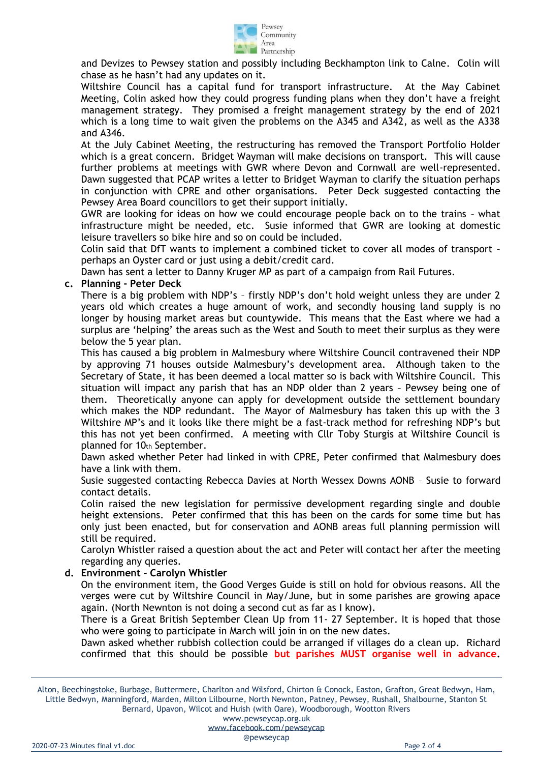

and Devizes to Pewsey station and possibly including Beckhampton link to Calne. Colin will chase as he hasn't had any updates on it.

Wiltshire Council has a capital fund for transport infrastructure. At the May Cabinet Meeting, Colin asked how they could progress funding plans when they don't have a freight management strategy. They promised a freight management strategy by the end of 2021 which is a long time to wait given the problems on the A345 and A342, as well as the A338 and A346.

At the July Cabinet Meeting, the restructuring has removed the Transport Portfolio Holder which is a great concern. Bridget Wayman will make decisions on transport. This will cause further problems at meetings with GWR where Devon and Cornwall are well-represented. Dawn suggested that PCAP writes a letter to Bridget Wayman to clarify the situation perhaps in conjunction with CPRE and other organisations. Peter Deck suggested contacting the Pewsey Area Board councillors to get their support initially.

GWR are looking for ideas on how we could encourage people back on to the trains – what infrastructure might be needed, etc. Susie informed that GWR are looking at domestic leisure travellers so bike hire and so on could be included.

Colin said that DfT wants to implement a combined ticket to cover all modes of transport – perhaps an Oyster card or just using a debit/credit card.

Dawn has sent a letter to Danny Kruger MP as part of a campaign from Rail Futures.

#### **c. Planning - Peter Deck**

There is a big problem with NDP's – firstly NDP's don't hold weight unless they are under 2 years old which creates a huge amount of work, and secondly housing land supply is no longer by housing market areas but countywide. This means that the East where we had a surplus are 'helping' the areas such as the West and South to meet their surplus as they were below the 5 year plan.

This has caused a big problem in Malmesbury where Wiltshire Council contravened their NDP by approving 71 houses outside Malmesbury's development area. Although taken to the Secretary of State, it has been deemed a local matter so is back with Wiltshire Council. This situation will impact any parish that has an NDP older than 2 years – Pewsey being one of them. Theoretically anyone can apply for development outside the settlement boundary which makes the NDP redundant. The Mayor of Malmesbury has taken this up with the 3 Wiltshire MP's and it looks like there might be a fast-track method for refreshing NDP's but this has not yet been confirmed. A meeting with Cllr Toby Sturgis at Wiltshire Council is planned for 10th September.

Dawn asked whether Peter had linked in with CPRE, Peter confirmed that Malmesbury does have a link with them.

Susie suggested contacting Rebecca Davies at North Wessex Downs AONB – Susie to forward contact details.

Colin raised the new legislation for permissive development regarding single and double height extensions. Peter confirmed that this has been on the cards for some time but has only just been enacted, but for conservation and AONB areas full planning permission will still be required.

Carolyn Whistler raised a question about the act and Peter will contact her after the meeting regarding any queries.

### **d. Environment – Carolyn Whistler**

On the environment item, the Good Verges Guide is still on hold for obvious reasons. All the verges were cut by Wiltshire Council in May/June, but in some parishes are growing apace again. (North Newnton is not doing a second cut as far as I know).

There is a Great British September Clean Up from 11- 27 September. It is hoped that those who were going to participate in March will join in on the new dates.

Dawn asked whether rubbish collection could be arranged if villages do a clean up. Richard confirmed that this should be possible **but parishes MUST organise well in advance.**

Alton, Beechingstoke, Burbage, Buttermere, Charlton and Wilsford, Chirton & Conock, Easton, Grafton, Great Bedwyn, Ham, Little Bedwyn, Manningford, Marden, Milton Lilbourne, North Newnton, Patney, Pewsey, Rushall, Shalbourne, Stanton St Bernard, Upavon, Wilcot and Huish (with Oare), Woodborough, Wootton Rivers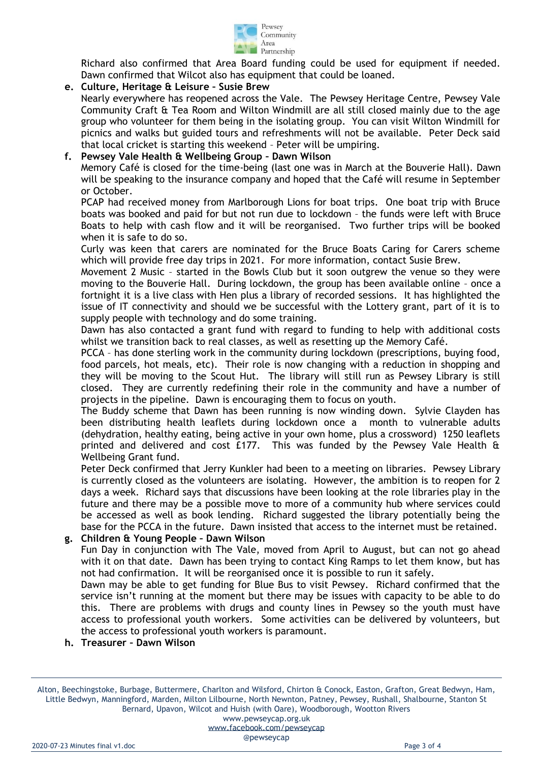

Richard also confirmed that Area Board funding could be used for equipment if needed. Dawn confirmed that Wilcot also has equipment that could be loaned.

# **e. Culture, Heritage & Leisure – Susie Brew**

Nearly everywhere has reopened across the Vale. The Pewsey Heritage Centre, Pewsey Vale Community Craft & Tea Room and Wilton Windmill are all still closed mainly due to the age group who volunteer for them being in the isolating group. You can visit Wilton Windmill for picnics and walks but guided tours and refreshments will not be available. Peter Deck said that local cricket is starting this weekend – Peter will be umpiring.

# **f. Pewsey Vale Health & Wellbeing Group – Dawn Wilson**

Memory Café is closed for the time-being (last one was in March at the Bouverie Hall). Dawn will be speaking to the insurance company and hoped that the Café will resume in September or October.

PCAP had received money from Marlborough Lions for boat trips. One boat trip with Bruce boats was booked and paid for but not run due to lockdown – the funds were left with Bruce Boats to help with cash flow and it will be reorganised. Two further trips will be booked when it is safe to do so.

Curly was keen that carers are nominated for the Bruce Boats Caring for Carers scheme which will provide free day trips in 2021. For more information, contact Susie Brew.

Movement 2 Music – started in the Bowls Club but it soon outgrew the venue so they were moving to the Bouverie Hall. During lockdown, the group has been available online – once a fortnight it is a live class with Hen plus a library of recorded sessions. It has highlighted the issue of IT connectivity and should we be successful with the Lottery grant, part of it is to supply people with technology and do some training.

Dawn has also contacted a grant fund with regard to funding to help with additional costs whilst we transition back to real classes, as well as resetting up the Memory Café.

PCCA – has done sterling work in the community during lockdown (prescriptions, buying food, food parcels, hot meals, etc). Their role is now changing with a reduction in shopping and they will be moving to the Scout Hut. The library will still run as Pewsey Library is still closed. They are currently redefining their role in the community and have a number of projects in the pipeline. Dawn is encouraging them to focus on youth.

The Buddy scheme that Dawn has been running is now winding down. Sylvie Clayden has been distributing health leaflets during lockdown once a month to vulnerable adults (dehydration, healthy eating, being active in your own home, plus a crossword) 1250 leaflets printed and delivered and cost £177. This was funded by the Pewsey Vale Health & Wellbeing Grant fund.

Peter Deck confirmed that Jerry Kunkler had been to a meeting on libraries. Pewsey Library is currently closed as the volunteers are isolating. However, the ambition is to reopen for 2 days a week. Richard says that discussions have been looking at the role libraries play in the future and there may be a possible move to more of a community hub where services could be accessed as well as book lending. Richard suggested the library potentially being the base for the PCCA in the future. Dawn insisted that access to the internet must be retained.

### **g. Children & Young People – Dawn Wilson**

Fun Day in conjunction with The Vale, moved from April to August, but can not go ahead with it on that date. Dawn has been trying to contact King Ramps to let them know, but has not had confirmation. It will be reorganised once it is possible to run it safely.

Dawn may be able to get funding for Blue Bus to visit Pewsey. Richard confirmed that the service isn't running at the moment but there may be issues with capacity to be able to do this. There are problems with drugs and county lines in Pewsey so the youth must have access to professional youth workers. Some activities can be delivered by volunteers, but the access to professional youth workers is paramount.

#### **h. Treasurer – Dawn Wilson**

Alton, Beechingstoke, Burbage, Buttermere, Charlton and Wilsford, Chirton & Conock, Easton, Grafton, Great Bedwyn, Ham, Little Bedwyn, Manningford, Marden, Milton Lilbourne, North Newnton, Patney, Pewsey, Rushall, Shalbourne, Stanton St Bernard, Upavon, Wilcot and Huish (with Oare), Woodborough, Wootton Rivers

#### www.pewseycap.org.uk

[www.facebook.com/pewseycap](http://www.facebook.com/pewseycap)